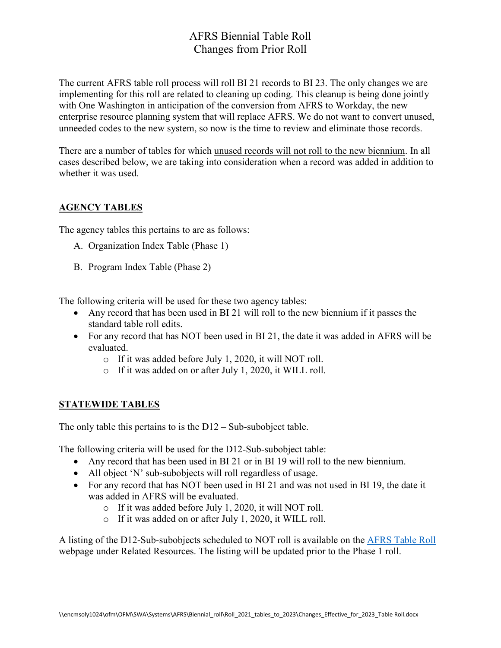# AFRS Biennial Table Roll Changes from Prior Roll

The current AFRS table roll process will roll BI 21 records to BI 23. The only changes we are implementing for this roll are related to cleaning up coding. This cleanup is being done jointly with One Washington in anticipation of the conversion from AFRS to Workday, the new enterprise resource planning system that will replace AFRS. We do not want to convert unused, unneeded codes to the new system, so now is the time to review and eliminate those records.

There are a number of tables for which unused records will not roll to the new biennium. In all cases described below, we are taking into consideration when a record was added in addition to whether it was used.

### **AGENCY TABLES**

The agency tables this pertains to are as follows:

- A. Organization Index Table (Phase 1)
- B. Program Index Table (Phase 2)

The following criteria will be used for these two agency tables:

- Any record that has been used in BI 21 will roll to the new biennium if it passes the standard table roll edits.
- For any record that has NOT been used in BI 21, the date it was added in AFRS will be evaluated.
	- o If it was added before July 1, 2020, it will NOT roll.
	- o If it was added on or after July 1, 2020, it WILL roll.

#### **STATEWIDE TABLES**

The only table this pertains to is the D12 – Sub-subobject table.

The following criteria will be used for the D12-Sub-subobject table:

- Any record that has been used in BI 21 or in BI 19 will roll to the new biennium.
- All object 'N' sub-subobjects will roll regardless of usage.
- For any record that has NOT been used in BI 21 and was not used in BI 19, the date it was added in AFRS will be evaluated.
	- o If it was added before July 1, 2020, it will NOT roll.
	- o If it was added on or after July 1, 2020, it WILL roll.

A listing of the D12-Sub-subobjects scheduled to NOT roll is available on the [AFRS Table Roll](https://ofm.wa.gov/accounting/administrative-accounting-resources/afrs-table-roll) webpage under Related Resources. The listing will be updated prior to the Phase 1 roll.